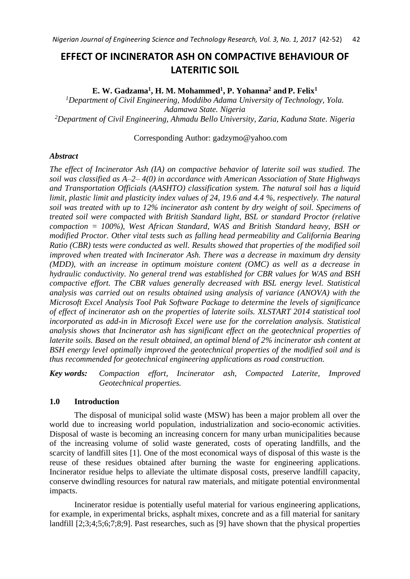# **EFFECT OF INCINERATOR ASH ON COMPACTIVE BEHAVIOUR OF LATERITIC SOIL**

**E. W. Gadzama<sup>1</sup> , H. M. Mohammed<sup>1</sup> , P. Yohanna<sup>2</sup> and P. Felix<sup>1</sup>**

*<sup>1</sup>Department of Civil Engineering, Moddibo Adama University of Technology, Yola. Adamawa State. Nigeria <sup>2</sup>Department of Civil Engineering, Ahmadu Bello University, Zaria, Kaduna State. Nigeria*

# Corresponding Author: gadzymo@yahoo.com

# *Abstract*

*The effect of Incinerator Ash (IA) on compactive behavior of laterite soil was studied. The soil was classified as A–2– 4(0) in accordance with American Association of State Highways and Transportation Officials (AASHTO) classification system. The natural soil has a liquid limit, plastic limit and plasticity index values of 24, 19.6 and 4.4 %, respectively. The natural soil was treated with up to 12% incinerator ash content by dry weight of soil. Specimens of treated soil were compacted with British Standard light, BSL or standard Proctor (relative compaction = 100%), West African Standard, WAS and British Standard heavy, BSH or modified Proctor. Other vital tests such as falling head permeability and California Bearing Ratio (CBR) tests were conducted as well. Results showed that properties of the modified soil improved when treated with Incinerator Ash. There was a decrease in maximum dry density (MDD), with an increase in optimum moisture content (OMC) as well as a decrease in hydraulic conductivity. No general trend was established for CBR values for WAS and BSH compactive effort. The CBR values generally decreased with BSL energy level. Statistical analysis was carried out on results obtained using analysis of variance (ANOVA) with the Microsoft Excel Analysis Tool Pak Software Package to determine the levels of significance of effect of incinerator ash on the properties of laterite soils. XLSTART 2014 statistical tool incorporated as add-in in Microsoft Excel were use for the correlation analysis. Statistical analysis shows that Incinerator ash has significant effect on the geotechnical properties of laterite soils. Based on the result obtained, an optimal blend of 2% incinerator ash content at BSH energy level optimally improved the geotechnical properties of the modified soil and is thus recommended for geotechnical engineering applications as road construction.*

*Key words: Compaction effort, Incinerator ash, Compacted Laterite, Improved Geotechnical properties.*

# **1.0 Introduction**

The disposal of municipal solid waste (MSW) has been a major problem all over the world due to increasing world population, industrialization and socio-economic activities. Disposal of waste is becoming an increasing concern for many urban municipalities because of the increasing volume of solid waste generated, costs of operating landfills, and the scarcity of landfill sites [1]. One of the most economical ways of disposal of this waste is the reuse of these residues obtained after burning the waste for engineering applications. Incinerator residue helps to alleviate the ultimate disposal costs, preserve landfill capacity, conserve dwindling resources for natural raw materials, and mitigate potential environmental impacts.

Incinerator residue is potentially useful material for various engineering applications, for example, in experimental bricks, asphalt mixes, concrete and as a fill material for sanitary landfill [2;3;4;5;6;7;8;9]. Past researches, such as [9] have shown that the physical properties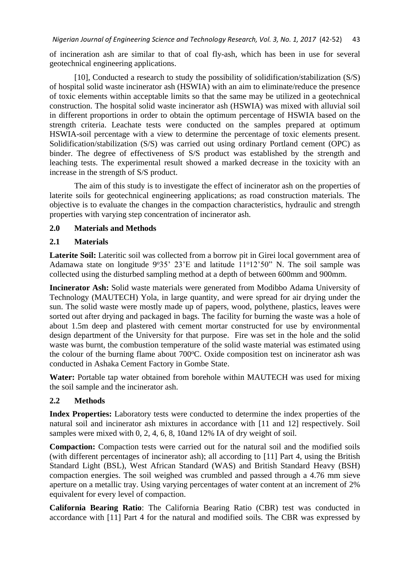of incineration ash are similar to that of coal fly-ash, which has been in use for several geotechnical engineering applications.

[10], Conducted a research to study the possibility of solidification/stabilization (S/S) of hospital solid waste incinerator ash (HSWIA) with an aim to eliminate/reduce the presence of toxic elements within acceptable limits so that the same may be utilized in a geotechnical construction. The hospital solid waste incinerator ash (HSWIA) was mixed with alluvial soil in different proportions in order to obtain the optimum percentage of HSWIA based on the strength criteria. Leachate tests were conducted on the samples prepared at optimum HSWIA-soil percentage with a view to determine the percentage of toxic elements present. Solidification/stabilization (S/S) was carried out using ordinary Portland cement (OPC) as binder. The degree of effectiveness of S/S product was established by the strength and leaching tests. The experimental result showed a marked decrease in the toxicity with an increase in the strength of S/S product.

The aim of this study is to investigate the effect of incinerator ash on the properties of laterite soils for geotechnical engineering applications; as road construction materials. The objective is to evaluate the changes in the compaction characteristics, hydraulic and strength properties with varying step concentration of incinerator ash.

# **2.0 Materials and Methods**

# **2.1 Materials**

Laterite Soil: Lateritic soil was collected from a borrow pit in Girei local government area of Adamawa state on longitude  $9°35'$   $23'E$  and latitude  $11°12'50''$  N. The soil sample was collected using the disturbed sampling method at a depth of between 600mm and 900mm.

**Incinerator Ash:** Solid waste materials were generated from Modibbo Adama University of Technology (MAUTECH) Yola, in large quantity, and were spread for air drying under the sun. The solid waste were mostly made up of papers, wood, polythene, plastics, leaves were sorted out after drying and packaged in bags. The facility for burning the waste was a hole of about 1.5m deep and plastered with cement mortar constructed for use by environmental design department of the University for that purpose. Fire was set in the hole and the solid waste was burnt, the combustion temperature of the solid waste material was estimated using the colour of the burning flame about  $700^{\circ}$ C. Oxide composition test on incinerator ash was conducted in Ashaka Cement Factory in Gombe State.

Water: Portable tap water obtained from borehole within MAUTECH was used for mixing the soil sample and the incinerator ash.

# **2.2 Methods**

**Index Properties:** Laboratory tests were conducted to determine the index properties of the natural soil and incinerator ash mixtures in accordance with [11 and 12] respectively. Soil samples were mixed with 0, 2, 4, 6, 8, 10and 12% IA of dry weight of soil.

**Compaction:** Compaction tests were carried out for the natural soil and the modified soils (with different percentages of incinerator ash); all according to [11] Part 4, using the British Standard Light (BSL), West African Standard (WAS) and British Standard Heavy (BSH) compaction energies. The soil weighed was crumbled and passed through a 4.76 mm sieve aperture on a metallic tray. Using varying percentages of water content at an increment of 2% equivalent for every level of compaction.

**California Bearing Ratio**: The California Bearing Ratio (CBR) test was conducted in accordance with [11] Part 4 for the natural and modified soils. The CBR was expressed by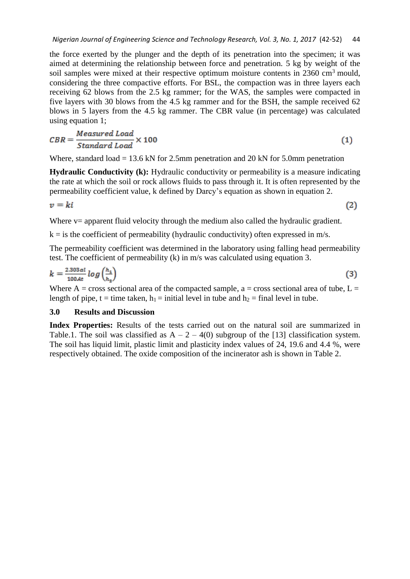the force exerted by the plunger and the depth of its penetration into the specimen; it was aimed at determining the relationship between force and penetration. 5 kg by weight of the soil samples were mixed at their respective optimum moisture contents in  $2360 \text{ cm}^3$  mould, considering the three compactive efforts. For BSL, the compaction was in three layers each receiving 62 blows from the 2.5 kg rammer; for the WAS, the samples were compacted in five layers with 30 blows from the 4.5 kg rammer and for the BSH, the sample received 62 blows in 5 layers from the 4.5 kg rammer. The CBR value (in percentage) was calculated using equation 1;

$$
CBR = \frac{Measured\; Load}{Standard\; Load} \times 100\tag{1}
$$

Where, standard load = 13.6 kN for 2.5mm penetration and 20 kN for 5.0mm penetration

**Hydraulic Conductivity (k):** Hydraulic conductivity or permeability is a measure indicating the rate at which the soil or rock allows fluids to pass through it. It is often represented by the permeability coefficient value, k defined by Darcy's equation as shown in equation 2.

$$
v = ki \tag{2}
$$

Where v= apparent fluid velocity through the medium also called the hydraulic gradient.

 $k = i$  s the coefficient of permeability (hydraulic conductivity) often expressed in m/s.

The permeability coefficient was determined in the laboratory using falling head permeability test. The coefficient of permeability (k) in m/s was calculated using equation 3.

$$
k = \frac{2.303 \, a l}{100 \, At} \log \left( \frac{h_1}{h_2} \right) \tag{3}
$$

Where  $A = \text{cross sectional area of the compacted sample, a = cross sectional area of tube, L =$ length of pipe, t = time taken,  $h_1$  = initial level in tube and  $h_2$  = final level in tube.

## **3.0 Results and Discussion**

**Index Properties:** Results of the tests carried out on the natural soil are summarized in Table.1. The soil was classified as  $A - 2 - 4(0)$  subgroup of the [13] classification system. The soil has liquid limit, plastic limit and plasticity index values of 24, 19.6 and 4.4 %, were respectively obtained. The oxide composition of the incinerator ash is shown in Table 2.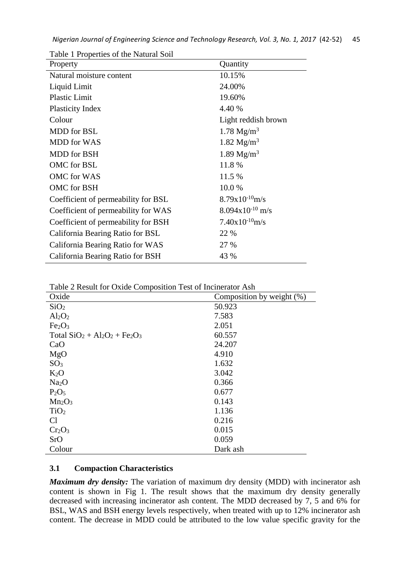| Property                            | Quantity                    |
|-------------------------------------|-----------------------------|
| Natural moisture content            | 10.15%                      |
| Liquid Limit                        | 24.00%                      |
| <b>Plastic Limit</b>                | 19.60%                      |
| <b>Plasticity Index</b>             | 4.40 %                      |
| Colour                              | Light reddish brown         |
| <b>MDD</b> for BSL                  | $1.78 \text{ Mg/m}^3$       |
| <b>MDD</b> for WAS                  | 1.82 $Mg/m^3$               |
| <b>MDD</b> for BSH                  | $1.89 \text{ Mg/m}^3$       |
| OMC for BSL                         | 11.8%                       |
| <b>OMC</b> for WAS                  | 11.5 %                      |
| OMC for BSH                         | 10.0%                       |
| Coefficient of permeability for BSL | $8.79x10^{-10}$ m/s         |
| Coefficient of permeability for WAS | $8.094 \times 10^{-10}$ m/s |
| Coefficient of permeability for BSH | $7.40x10^{-10}$ m/s         |
| California Bearing Ratio for BSL    | 22 %                        |
| California Bearing Ratio for WAS    | 27 %                        |
| California Bearing Ratio for BSH    | 43 %                        |

Table 1 Properties of the Natural Soil

| Oxide                          | Composition by weight (%) |
|--------------------------------|---------------------------|
| SiO <sub>2</sub>               | 50.923                    |
| $Al_2O_2$                      | 7.583                     |
| Fe <sub>2</sub> O <sub>3</sub> | 2.051                     |
| Total $SiO2 + Al2O2 + Fe2O3$   | 60.557                    |
| CaO                            | 24.207                    |
| MgO                            | 4.910                     |
| SO <sub>3</sub>                | 1.632                     |
| $K_2O$                         | 3.042                     |
| Na <sub>2</sub> O              | 0.366                     |
| $P_2O_5$                       | 0.677                     |
| $Mn_2O_3$                      | 0.143                     |
| TiO <sub>2</sub>               | 1.136                     |
| Cl                             | 0.216                     |
| Cr <sub>2</sub> O <sub>3</sub> | 0.015                     |
| SrO                            | 0.059                     |
| Colour                         | Dark ash                  |

# **3.1 Compaction Characteristics**

*Maximum dry density:* The variation of maximum dry density (MDD) with incinerator ash content is shown in Fig 1. The result shows that the maximum dry density generally decreased with increasing incinerator ash content. The MDD decreased by 7, 5 and 6% for BSL, WAS and BSH energy levels respectively, when treated with up to 12% incinerator ash content. The decrease in MDD could be attributed to the low value specific gravity for the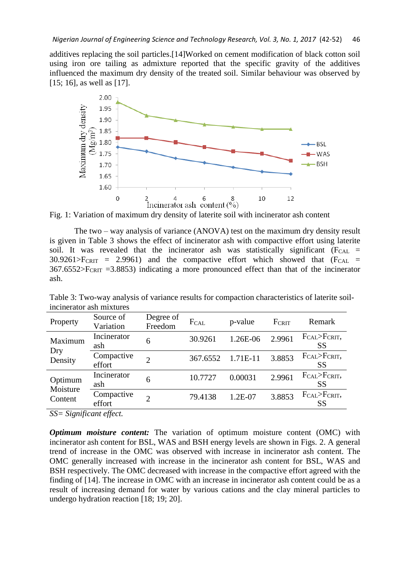additives replacing the soil particles.[14]Worked on cement modification of black cotton soil using iron ore tailing as admixture reported that the specific gravity of the additives influenced the maximum dry density of the treated soil. Similar behaviour was observed by [15; 16], as well as [17].



Fig. 1: Variation of maximum dry density of laterite soil with incinerator ash content

The two – way analysis of variance (ANOVA) test on the maximum dry density result is given in Table 3 shows the effect of incinerator ash with compactive effort using laterite soil. It was revealed that the incinerator ash was statistically significant ( $F_{CAL}$  =  $30.9261 > F_{CRIT}$  = 2.9961) and the compactive effort which showed that  $(F_{CAL}$  =  $367.6552 > F_{CRIT} = 3.8853$ ) indicating a more pronounced effect than that of the incinerator ash.

| <u>mendeach</u> asn mixtares |                        |                      |          |          |        |                                             |
|------------------------------|------------------------|----------------------|----------|----------|--------|---------------------------------------------|
| Property                     | Source of<br>Variation | Degree of<br>Freedom | FCAL     | p-value  | FCRIT  | Remark                                      |
| Maximum                      | Incinerator<br>ash     | 6                    | 30.9261  | 1.26E-06 | 2.9961 | $F_{CAL} > F_{CRIT}$<br><b>SS</b>           |
| Dry<br>Density               | Compactive<br>effort   |                      | 367.6552 | 1.71E-11 | 3.8853 | $F_{CAL} > F_{CRIT}$<br>SS                  |
| Optimum                      | Incinerator<br>ash     | 6                    | 10.7727  | 0.00031  | 2.9961 | F <sub>CAL</sub> >F <sub>CRIT</sub> ,<br>SS |
| Moisture<br>Content          | Compactive<br>effort   |                      | 79.4138  | 1.2E-07  | 3.8853 | $F_{CAL} > F_{CRIT}$<br>SS                  |
|                              |                        |                      |          |          |        |                                             |

Table 3: Two-way analysis of variance results for compaction characteristics of laterite soilincinerator ash mixtures

*SS= Significant effect.*

*Optimum moisture content:* The variation of optimum moisture content (OMC) with incinerator ash content for BSL, WAS and BSH energy levels are shown in Figs. 2. A general trend of increase in the OMC was observed with increase in incinerator ash content. The OMC generally increased with increase in the incinerator ash content for BSL, WAS and BSH respectively. The OMC decreased with increase in the compactive effort agreed with the finding of [14]. The increase in OMC with an increase in incinerator ash content could be as a result of increasing demand for water by various cations and the clay mineral particles to undergo hydration reaction [18; 19; 20].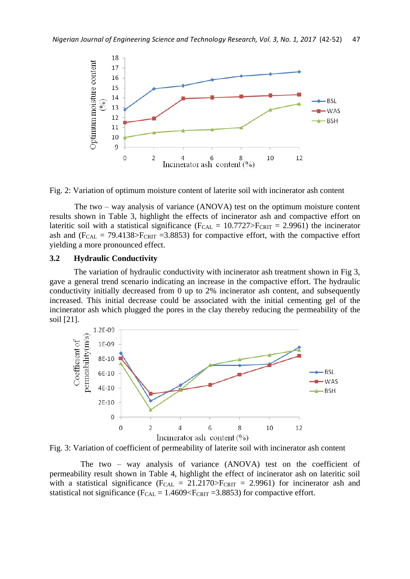

Fig. 2: Variation of optimum moisture content of laterite soil with incinerator ash content

The two – way analysis of variance (ANOVA) test on the optimum moisture content results shown in Table 3, highlight the effects of incinerator ash and compactive effort on lateritic soil with a statistical significance ( $F_{CAL} = 10.7727 > F_{CRIT} = 2.9961$ ) the incinerator ash and  $(F_{CAL} = 79.4138 > F_{CRIT} = 3.8853)$  for compactive effort, with the compactive effort yielding a more pronounced effect.

#### **3.2 Hydraulic Conductivity**

The variation of hydraulic conductivity with incinerator ash treatment shown in Fig 3, gave a general trend scenario indicating an increase in the compactive effort. The hydraulic conductivity initially decreased from 0 up to 2% incinerator ash content, and subsequently increased. This initial decrease could be associated with the initial cementing gel of the incinerator ash which plugged the pores in the clay thereby reducing the permeability of the soil [21].



Fig. 3: Variation of coefficient of permeability of laterite soil with incinerator ash content

The two – way analysis of variance (ANOVA) test on the coefficient of permeability result shown in Table 4, highlight the effect of incinerator ash on lateritic soil with a statistical significance ( $F_{CAL} = 21.2170 > F_{CRIT} = 2.9961$ ) for incinerator ash and statistical not significance ( $F_{CAL} = 1.4609 \le F_{CRIT} = 3.8853$ ) for compactive effort.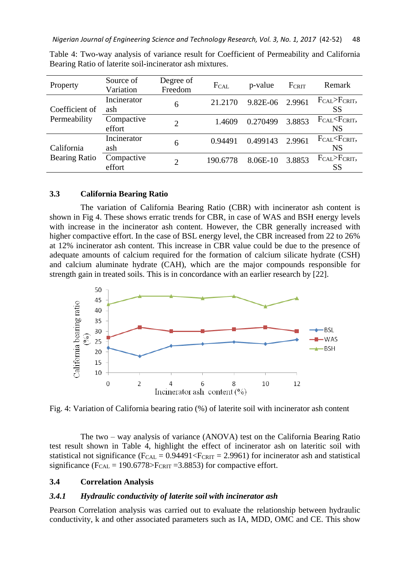| Property                       | Source of<br>Variation | Degree of<br>Freedom | FCAL     | p-value  | FCRIT  | Remark                                              |
|--------------------------------|------------------------|----------------------|----------|----------|--------|-----------------------------------------------------|
| Coefficient of<br>Permeability | Incinerator<br>ash     | 6                    | 21.2170  | 9.82E-06 | 2.9961 | $F_{CAL} > F_{CRIT}$<br><b>SS</b>                   |
|                                | Compactive<br>effort   | $\overline{2}$       | 1.4609   | 0.270499 | 3.8853 | FCAL <fcrit,<br><b>NS</b></fcrit,<br>               |
| California                     | Incinerator<br>ash     | 6                    | 0.94491  | 0.499143 | 2.9961 | F <sub>CAL</sub> <f<sub>CRIT,<br/><b>NS</b></f<sub> |
| <b>Bearing Ratio</b>           | Compactive<br>effort   | 2                    | 190.6778 | 8.06E-10 | 3.8853 | $F_{CAL} > F_{CRIT}$<br><b>SS</b>                   |

Table 4: Two-way analysis of variance result for Coefficient of Permeability and California Bearing Ratio of laterite soil-incinerator ash mixtures.

# **3.3 California Bearing Ratio**

The variation of California Bearing Ratio (CBR) with incinerator ash content is shown in Fig 4. These shows erratic trends for CBR, in case of WAS and BSH energy levels with increase in the incinerator ash content. However, the CBR generally increased with higher compactive effort. In the case of BSL energy level, the CBR increased from 22 to 26% at 12% incinerator ash content. This increase in CBR value could be due to the presence of adequate amounts of calcium required for the formation of calcium silicate hydrate (CSH) and calcium aluminate hydrate (CAH), which are the major compounds responsible for strength gain in treated soils. This is in concordance with an earlier research by [22].



Fig. 4: Variation of California bearing ratio (%) of laterite soil with incinerator ash content

The two – way analysis of variance (ANOVA) test on the California Bearing Ratio test result shown in Table 4, highlight the effect of incinerator ash on lateritic soil with statistical not significance ( $F_{CAL} = 0.94491 \le F_{CRIT} = 2.9961$ ) for incinerator ash and statistical significance ( $F_{CAL} = 190.6778 > F_{CRIT} = 3.8853$ ) for compactive effort.

## **3.4 Correlation Analysis**

#### *3.4.1 Hydraulic conductivity of laterite soil with incinerator ash*

Pearson Correlation analysis was carried out to evaluate the relationship between hydraulic conductivity, k and other associated parameters such as IA, MDD, OMC and CE. This show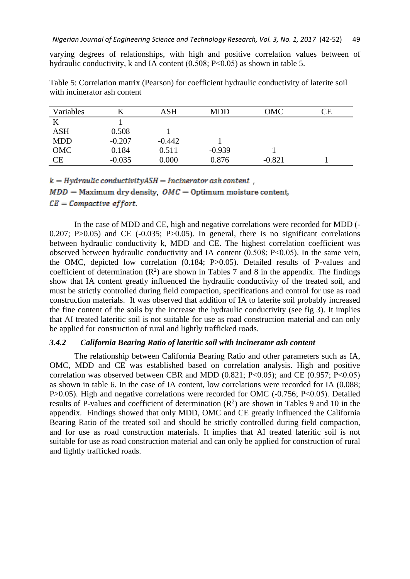varying degrees of relationships, with high and positive correlation values between of hydraulic conductivity, k and IA content (0.508; P<0.05) as shown in table 5.

| Variables           |          | <b>ASH</b> | MDD      | OMC      | CЕ |
|---------------------|----------|------------|----------|----------|----|
|                     |          |            |          |          |    |
| <b>ASH</b>          | 0.508    |            |          |          |    |
| <b>MDD</b>          | $-0.207$ | $-0.442$   |          |          |    |
| OMC                 | 0.184    | 0.511      | $-0.939$ |          |    |
| $\operatorname{CE}$ | $-0.035$ | 0.000      | 0.876    | $-0.821$ |    |

Table 5: Correlation matrix (Pearson) for coefficient hydraulic conductivity of laterite soil with incinerator ash content

 $k = Hydraulic conductivityASH = Incinerator ash content$ ,

 $MDD =$  Maximum dry density,  $OMC =$  Optimum moisture content,

 $CE = Compute$  effort.

In the case of MDD and CE, high and negative correlations were recorded for MDD (- 0.207; P $>0.05$ ) and CE ( $-0.035$ ; P $>0.05$ ). In general, there is no significant correlations between hydraulic conductivity k, MDD and CE. The highest correlation coefficient was observed between hydraulic conductivity and IA content (0.508; P˂0.05). In the same vein, the OMC, depicted low correlation (0.184; P>0.05). Detailed results of P-values and coefficient of determination  $(R^2)$  are shown in Tables 7 and 8 in the appendix. The findings show that IA content greatly influenced the hydraulic conductivity of the treated soil, and must be strictly controlled during field compaction, specifications and control for use as road construction materials. It was observed that addition of IA to laterite soil probably increased the fine content of the soils by the increase the hydraulic conductivity (see fig 3). It implies that AI treated lateritic soil is not suitable for use as road construction material and can only be applied for construction of rural and lightly trafficked roads.

# *3.4.2 California Bearing Ratio of lateritic soil with incinerator ash content*

The relationship between California Bearing Ratio and other parameters such as IA, OMC, MDD and CE was established based on correlation analysis. High and positive correlation was observed between CBR and MDD  $(0.821; P<0.05)$ ; and CE  $(0.957; P<0.05)$ as shown in table 6. In the case of IA content, low correlations were recorded for IA (0.088; P>0.05). High and negative correlations were recorded for OMC (-0.756; P˂0.05). Detailed results of P-values and coefficient of determination  $(R^2)$  are shown in Tables 9 and 10 in the appendix. Findings showed that only MDD, OMC and CE greatly influenced the California Bearing Ratio of the treated soil and should be strictly controlled during field compaction, and for use as road construction materials. It implies that AI treated lateritic soil is not suitable for use as road construction material and can only be applied for construction of rural and lightly trafficked roads.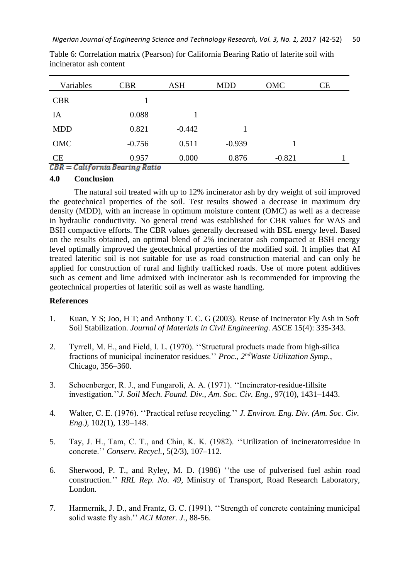| Variables           | <b>CBR</b>                                         | <b>ASH</b> | <b>MDD</b> | OMC      | <b>CE</b> |
|---------------------|----------------------------------------------------|------------|------------|----------|-----------|
| <b>CBR</b>          |                                                    |            |            |          |           |
| IA                  | 0.088                                              |            |            |          |           |
| <b>MDD</b>          | 0.821                                              | $-0.442$   |            |          |           |
| OMC                 | $-0.756$                                           | 0.511      | $-0.939$   |          |           |
| CE<br>$  -$<br>---- | 0.957<br>$\sim$ $\sim$ $\sim$ $\sim$ $\sim$ $\sim$ | 0.000      | 0.876      | $-0.821$ |           |

Table 6: Correlation matrix (Pearson) for California Bearing Ratio of laterite soil with incinerator ash content

 $CBR = California \, Bearing \, Ratio$ 

## **4.0 Conclusion**

The natural soil treated with up to 12% incinerator ash by dry weight of soil improved the geotechnical properties of the soil. Test results showed a decrease in maximum dry density (MDD), with an increase in optimum moisture content (OMC) as well as a decrease in hydraulic conductivity. No general trend was established for CBR values for WAS and BSH compactive efforts. The CBR values generally decreased with BSL energy level. Based on the results obtained, an optimal blend of 2% incinerator ash compacted at BSH energy level optimally improved the geotechnical properties of the modified soil. It implies that AI treated lateritic soil is not suitable for use as road construction material and can only be applied for construction of rural and lightly trafficked roads. Use of more potent additives such as cement and lime admixed with incinerator ash is recommended for improving the geotechnical properties of lateritic soil as well as waste handling.

# **References**

- 1. Kuan, Y S; Joo, H T; and Anthony T. C. G (2003). Reuse of Incinerator Fly Ash in Soft Soil Stabilization. *Journal of Materials in Civil Engineering*. *ASCE* 15(4): 335-343.
- 2. Tyrrell, M. E., and Field, I. L. (1970). ''Structural products made from high-silica fractions of municipal incinerator residues.'' *Proc., 2ndWaste Utilization Symp.*, Chicago, 356–360.
- 3. Schoenberger, R. J., and Fungaroli, A. A. (1971). ''Incinerator-residue-fillsite investigation.''*J. Soil Mech. Found. Div., Am. Soc. Civ. Eng.,* 97(10), 1431–1443.
- 4. Walter, C. E. (1976). ''Practical refuse recycling.'' *J. Environ. Eng. Div. (Am. Soc. Civ. Eng.),* 102(1), 139–148.
- 5. Tay, J. H., Tam, C. T., and Chin, K. K. (1982). ''Utilization of incineratorresidue in concrete.'' *Conserv. Recycl.,* 5(2/3), 107–112.
- 6. Sherwood, P. T., and Ryley, M. D. (1986) ''the use of pulverised fuel ashin road construction.'' *RRL Rep. No. 49*, Ministry of Transport, Road Research Laboratory, London.
- 7. Harmernik, J. D., and Frantz, G. C. (1991). ''Strength of concrete containing municipal solid waste fly ash.'' *ACI Mater. J.,* 88-56.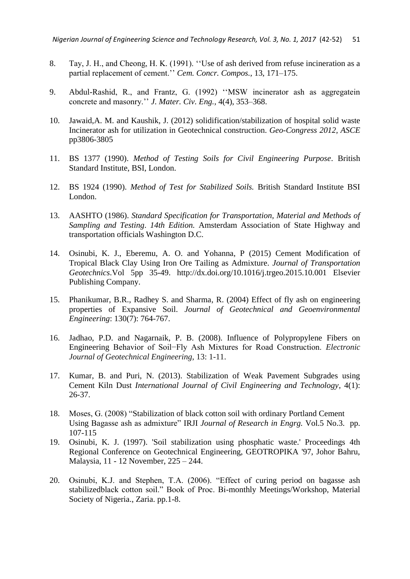- 8. Tay, J. H., and Cheong, H. K. (1991). ''Use of ash derived from refuse incineration as a partial replacement of cement.'' *Cem. Concr. Compos.,* 13, 171–175.
- 9. Abdul-Rashid, R., and Frantz, G. (1992) ''MSW incinerator ash as aggregatein concrete and masonry.'' *J. Mater. Civ. Eng.,* 4(4), 353–368.
- 10. Jawaid,A. M. and Kaushik, J. (2012) solidification/stabilization of hospital solid waste Incinerator ash for utilization in Geotechnical construction. *Geo-Congress 2012, ASCE* pp3806-3805
- 11. BS 1377 (1990). *Method of Testing Soils for Civil Engineering Purpose*. British Standard Institute, BSI, London.
- 12. BS 1924 (1990). *Method of Test for Stabilized Soils.* British Standard Institute BSI London.
- 13. AASHTO (1986). *Standard Specification for Transportation, Material and Methods of Sampling and Testing*. *14th Edition.* Amsterdam Association of State Highway and transportation officials Washington D.C.
- 14. Osinubi, K. J., Eberemu, A. O. and Yohanna, P (2015) Cement Modification of Tropical Black Clay Using Iron Ore Tailing as Admixture. *Journal of Transportation Geotechnics*.Vol 5pp 35-49. http://dx.doi.org/10.1016/j.trgeo.2015.10.001 Elsevier Publishing Company.
- 15. Phanikumar, B.R., Radhey S. and Sharma, R. (2004) Effect of fly ash on engineering properties of Expansive Soil. *Journal of Geotechnical and Geoenvironmental Engineering*: 130(7): 764-767.
- 16. Jadhao, P.D. and Nagarnaik, P. B. (2008). Influence of Polypropylene Fibers on Engineering Behavior of Soil−Fly Ash Mixtures for Road Construction. *Electronic Journal of Geotechnical Engineering*, 13: 1-11.
- 17. Kumar, B. and Puri, N. (2013). Stabilization of Weak Pavement Subgrades using Cement Kiln Dust *International Journal of Civil Engineering and Technology*, 4(1): 26-37.
- 18. Moses, G. (2008) "Stabilization of black cotton soil with ordinary Portland Cement Using Bagasse ash as admixture" IRJI *Journal of Research in Engrg.* Vol.5 No.3. pp. 107-115
- 19. Osinubi, K. J. (1997). 'Soil stabilization using phosphatic waste.' Proceedings 4th Regional Conference on Geotechnical Engineering, GEOTROPIKA '97, Johor Bahru, Malaysia, 11 - 12 November, 225 – 244.
- 20. Osinubi, K.J. and Stephen, T.A. (2006). "Effect of curing period on bagasse ash stabilizedblack cotton soil." Book of Proc. Bi-monthly Meetings/Workshop, Material Society of Nigeria., Zaria. pp.1-8.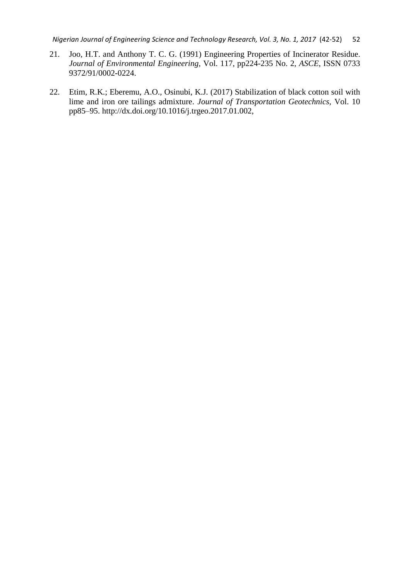*Nigerian Journal of Engineering Science and Technology Research, Vol. 3, No. 1, 2017* (42-52) 52

- 21. Joo, H.T. and Anthony T. C. G. (1991) Engineering Properties of Incinerator Residue. *Journal of Environmental Engineering,* Vol. 117, pp224-235 No. 2, *ASCE*, ISSN 0733 9372/91/0002-0224.
- 22. Etim, R.K.; Eberemu, A.O., Osinubi, K.J. (2017) Stabilization of black cotton soil with lime and iron ore tailings admixture. *Journal of Transportation Geotechnics,* Vol. 10 pp85–95. http://dx.doi.org/10.1016/j.trgeo.2017.01.002,